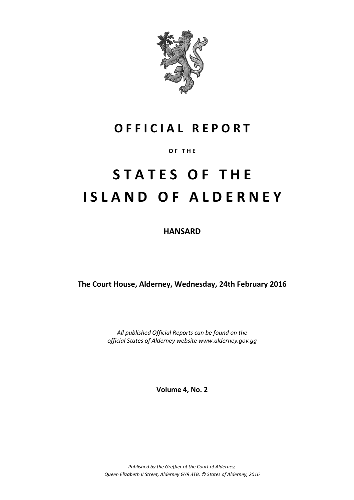

# **O F F I C I A L R E P O R T**

#### **O F T H E**

# **S T A T E S O F T H E I S L A N D O F A L D E R N E Y**

**HANSARD**

**The Court House, Alderney, Wednesday, 24th February 2016**

*All published Official Reports can be found on the official States of Alderney website www.alderney.gov.gg*

**Volume 4, No. 2**

*Published by the Greffier of the Court of Alderney, Queen Elizabeth II Street, Alderney GY9 3TB. © States of Alderney, 2016*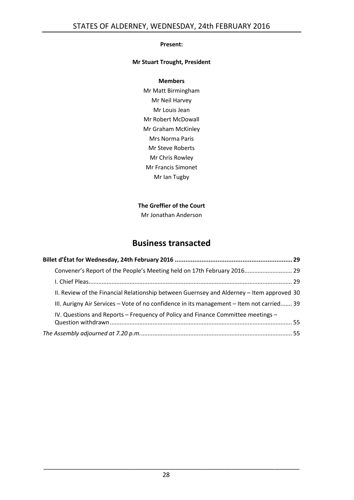#### **Present:**

#### **Mr Stuart Trought, President**

#### **Members**

Mr Matt Birmingham Mr Neil Harvey Mr Louis Jean Mr Robert McDowall Mr Graham McKinley Mrs Norma Paris Mr Steve Roberts Mr Chris Rowley Mr Francis Simonet Mr Ian Tugby

#### **The Greffier of the Court**

Mr Jonathan Anderson

## **Business transacted**

| Convener's Report of the People's Meeting held on 17th February 2016 29                   |  |
|-------------------------------------------------------------------------------------------|--|
|                                                                                           |  |
| II. Review of the Financial Relationship between Guernsey and Alderney - Item approved 30 |  |
| III. Aurigny Air Services – Vote of no confidence in its management – Item not carried 39 |  |
| IV. Questions and Reports – Frequency of Policy and Finance Committee meetings –          |  |
|                                                                                           |  |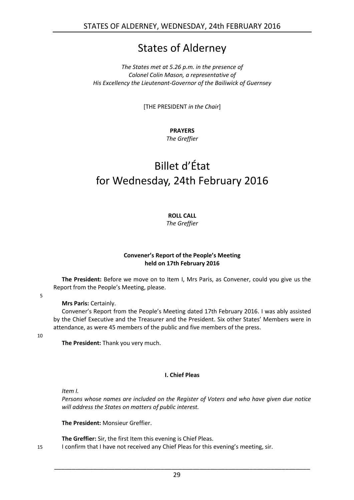# States of Alderney

#### *The States met at 5.26 p.m. in the presence of Colonel Colin Mason, a representative of His Excellency the Lieutenant-Governor of the Bailiwick of Guernsey*

[THE PRESIDENT *in the Chair*]

### **PRAYERS**

*The Greffier*

# <span id="page-2-0"></span>Billet d'État for Wednesday, 24th February 2016

**ROLL CALL**

*The Greffier*

#### **Convener's Report of the People's Meeting held on 17th February 2016**

<span id="page-2-1"></span>**The President:** Before we move on to Item I, Mrs Paris, as Convener, could you give us the Report from the People's Meeting, please.

5

#### **Mrs Paris:** Certainly.

Convener's Report from the People's Meeting dated 17th February 2016. I was ably assisted by the Chief Executive and the Treasurer and the President. Six other States' Members were in attendance, as were 45 members of the public and five members of the press.

10

**The President:** Thank you very much.

#### **I. Chief Pleas**

<span id="page-2-2"></span>*Item I.*

*Persons whose names are included on the Register of Voters and who have given due notice will address the States on matters of public interest.*

**The President:** Monsieur Greffier.

**The Greffier:** Sir, the first Item this evening is Chief Pleas.

15 I confirm that I have not received any Chief Pleas for this evening's meeting, sir.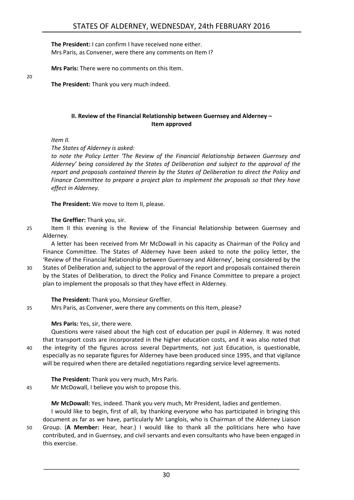**The President:** I can confirm I have received none either. Mrs Paris, as Convener, were there any comments on Item I?

**Mrs Paris:** There were no comments on this Item.

**The President:** Thank you very much indeed.

#### **II. Review of the Financial Relationship between Guernsey and Alderney – Item approved**

<span id="page-3-0"></span>*Item II.*

*The States of Alderney is asked:*

*to note the Policy Letter 'The Review of the Financial Relationship between Guernsey and Alderney' being considered by the States of Deliberation and subject to the approval of the report and proposals contained therein by the States of Deliberation to direct the Policy and Finance Committee to prepare a project plan to implement the proposals so that they have effect in Alderney.*

**The President:** We move to Item II, please.

**The Greffier:** Thank you, sir.

25 Item II this evening is the Review of the Financial Relationship between Guernsey and Alderney.

A letter has been received from Mr McDowall in his capacity as Chairman of the Policy and Finance Committee. The States of Alderney have been asked to note the policy letter, the 'Review of the Financial Relationship between Guernsey and Alderney', being considered by the

30 States of Deliberation and, subject to the approval of the report and proposals contained therein by the States of Deliberation, to direct the Policy and Finance Committee to prepare a project plan to implement the proposals so that they have effect in Alderney.

**The President:** Thank you, Monsieur Greffier.

35 Mrs Paris, as Convener, were there any comments on this Item, please?

**Mrs Paris:** Yes, sir, there were.

Questions were raised about the high cost of education per pupil in Alderney. It was noted that transport costs are incorporated in the higher education costs, and it was also noted that 40 the integrity of the figures across several Departments, not just Education, is questionable, especially as no separate figures for Alderney have been produced since 1995, and that vigilance will be required when there are detailed negotiations regarding service level agreements.

**The President:** Thank you very much, Mrs Paris.

45 Mr McDowall, I believe you wish to propose this.

**Mr McDowall:** Yes, indeed. Thank you very much, Mr President, ladies and gentlemen.

I would like to begin, first of all, by thanking everyone who has participated in bringing this document as far as we have, particularly Mr Langlois, who is Chairman of the Alderney Liaison 50 Group. (**A Member:** Hear, hear.) I would like to thank all the politicians here who have contributed, and in Guernsey, and civil servants and even consultants who have been engaged in this exercise.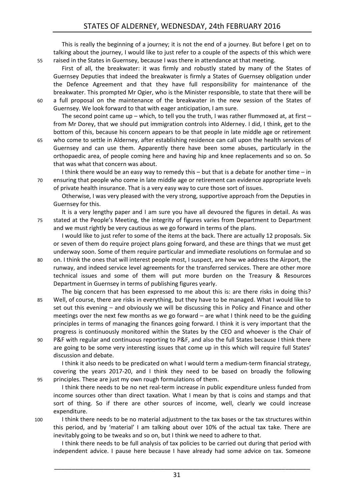This is really the beginning of a journey; it is not the end of a journey. But before I get on to talking about the journey, I would like to just refer to a couple of the aspects of this which were 55 raised in the States in Guernsey, because I was there in attendance at that meeting.

First of all, the breakwater: it was firmly and robustly stated by many of the States of Guernsey Deputies that indeed the breakwater is firmly a States of Guernsey obligation under the Defence Agreement and that they have full responsibility for maintenance of the breakwater. This prompted Mr Ogier, who is the Minister responsible, to state that there will be 60 a full proposal on the maintenance of the breakwater in the new session of the States of Guernsey. We look forward to that with eager anticipation, I am sure.

The second point came up – which, to tell you the truth, I was rather flummoxed at, at first – from Mr Dorey, that we should put immigration controls into Alderney. I did, I think, get to the bottom of this, because his concern appears to be that people in late middle age or retirement

65 who come to settle in Alderney, after establishing residence can call upon the health services of Guernsey and can use them. Apparently there have been some abuses, particularly in the orthopaedic area, of people coming here and having hip and knee replacements and so on. So that was what that concern was about.

I think there would be an easy way to remedy this  $-$  but that is a debate for another time  $-$  in 70 ensuring that people who come in late middle age or retirement can evidence appropriate levels of private health insurance. That is a very easy way to cure those sort of issues.

Otherwise, I was very pleased with the very strong, supportive approach from the Deputies in Guernsey for this.

It is a very lengthy paper and I am sure you have all devoured the figures in detail. As was 75 stated at the People's Meeting, the integrity of figures varies from Department to Department and we must rightly be very cautious as we go forward in terms of the plans.

I would like to just refer to some of the items at the back. There are actually 12 proposals. Six or seven of them do require project plans going forward, and these are things that we must get underway soon. Some of them require particular and immediate resolutions on formulae and so

- 80 on. I think the ones that will interest people most, I suspect, are how we address the Airport, the runway, and indeed service level agreements for the transferred services. There are other more technical issues and some of them will put more burden on the Treasury & Resources Department in Guernsey in terms of publishing figures yearly.
- The big concern that has been expressed to me about this is: are there risks in doing this? 85 Well, of course, there are risks in everything, but they have to be managed. What I would like to set out this evening – and obviously we will be discussing this in Policy and Finance and other meetings over the next few months as we go forward – are what I think need to be the guiding principles in terms of managing the finances going forward. I think it is very important that the progress is continuously monitored within the States by the CEO and whoever is the Chair of
- 90 P&F with regular and continuous reporting to P&F, and also the full States because I think there are going to be some very interesting issues that come up in this which will require full States' discussion and debate.

I think it also needs to be predicated on what I would term a medium-term financial strategy, covering the years 2017-20, and I think they need to be based on broadly the following 95 principles. These are just my own rough formulations of them.

I think there needs to be no net real-term increase in public expenditure unless funded from income sources other than direct taxation. What I mean by that is coins and stamps and that sort of thing. So if there are other sources of income, well, clearly we could increase expenditure.

100 I think there needs to be no material adjustment to the tax bases or the tax structures within this period, and by 'material' I am talking about over 10% of the actual tax take. There are inevitably going to be tweaks and so on, but I think we need to adhere to that.

31

I think there needs to be full analysis of tax policies to be carried out during that period with independent advice. I pause here because I have already had some advice on tax. Someone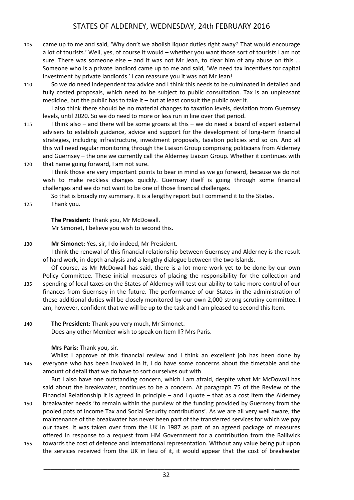105 came up to me and said, 'Why don't we abolish liquor duties right away? That would encourage a lot of tourists.' Well, yes, of course it would – whether you want those sort of tourists I am not sure. There was someone else – and it was not Mr Jean, to clear him of any abuse on this ... Someone who is a private landlord came up to me and said, 'We need tax incentives for capital investment by private landlords.' I can reassure you it was not Mr Jean!

110 So we do need independent tax advice and I think this needs to be culminated in detailed and fully costed proposals, which need to be subject to public consultation. Tax is an unpleasant medicine, but the public has to take it – but at least consult the public over it.

I also think there should be no material changes to taxation levels, deviation from Guernsey levels, until 2020. So we do need to more or less run in line over that period.

115 I think also – and there will be some groans at this – we do need a board of expert external advisers to establish guidance, advice and support for the development of long-term financial strategies, including infrastructure, investment proposals, taxation policies and so on. And all this will need regular monitoring through the Liaison Group comprising politicians from Alderney and Guernsey – the one we currently call the Alderney Liaison Group. Whether it continues with 120 that name going forward, I am not sure.

I think those are very important points to bear in mind as we go forward, because we do not wish to make reckless changes quickly. Guernsey itself is going through some financial challenges and we do not want to be one of those financial challenges.

So that is broadly my summary. It is a lengthy report but I commend it to the States.

125 Thank you.

**The President:** Thank you, Mr McDowall. Mr Simonet, I believe you wish to second this.

#### 130 **Mr Simonet:** Yes, sir, I do indeed, Mr President.

I think the renewal of this financial relationship between Guernsey and Alderney is the result of hard work, in-depth analysis and a lengthy dialogue between the two Islands.

Of course, as Mr McDowall has said, there is a lot more work yet to be done by our own Policy Committee. These initial measures of placing the responsibility for the collection and 135 spending of local taxes on the States of Alderney will test our ability to take more control of our finances from Guernsey in the future. The performance of our States in the administration of these additional duties will be closely monitored by our own 2,000-strong scrutiny committee. I am, however, confident that we will be up to the task and I am pleased to second this Item.

140 **The President:** Thank you very much, Mr Simonet.

Does any other Member wish to speak on Item II? Mrs Paris.

#### **Mrs Paris:** Thank you, sir.

Whilst I approve of this financial review and I think an excellent job has been done by 145 everyone who has been involved in it, I do have some concerns about the timetable and the amount of detail that we do have to sort ourselves out with.

But I also have one outstanding concern, which I am afraid, despite what Mr McDowall has said about the breakwater, continues to be a concern. At paragraph 75 of the Review of the Financial Relationship it is agreed in principle – and I quote – that as a cost item the Alderney

- 150 breakwater needs 'to remain within the purview of the funding provided by Guernsey from the pooled pots of Income Tax and Social Security contributions'. As we are all very well aware, the maintenance of the breakwater has never been part of the transferred services for which we pay our taxes. It was taken over from the UK in 1987 as part of an agreed package of measures offered in response to a request from HM Government for a contribution from the Bailiwick
- 155 towards the cost of defence and international representation. Without any value being put upon the services received from the UK in lieu of it, it would appear that the cost of breakwater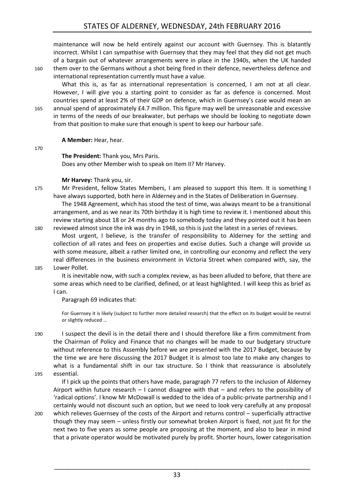maintenance will now be held entirely against our account with Guernsey. This is blatantly incorrect. Whilst I can sympathise with Guernsey that they may feel that they did not get much of a bargain out of whatever arrangements were in place in the 1940s, when the UK handed 160 them over to the Germans without a shot being fired in their defence, nevertheless defence and international representation currently must have a value.

What this is, as far as international representation is concerned, I am not at all clear. However, I will give you a starting point to consider as far as defence is concerned. Most countries spend at least 2% of their GDP on defence, which in Guernsey's case would mean an 165 annual spend of approximately £4.7 million. This figure may well be unreasonable and excessive in terms of the needs of our breakwater, but perhaps we should be looking to negotiate down from that position to make sure that enough is spent to keep our harbour safe.

**A Member:** Hear, hear.

170

**The President:** Thank you, Mrs Paris.

Does any other Member wish to speak on Item II? Mr Harvey.

**Mr Harvey:** Thank you, sir.

175 Mr President, fellow States Members, I am pleased to support this Item. It is something I have always supported, both here in Alderney and in the States of Deliberation in Guernsey.

The 1948 Agreement, which has stood the test of time, was always meant to be a transitional arrangement, and as we near its 70th birthday it is high time to review it. I mentioned about this review starting about 18 or 24 months ago to somebody today and they pointed out it has been 180 reviewed almost since the ink was dry in 1948, so this is just the latest in a series of reviews.

Most urgent, I believe, is the transfer of responsibility to Alderney for the setting and collection of all rates and fees on properties and excise duties. Such a change will provide us with some measure, albeit a rather limited one, in controlling our economy and reflect the very real differences in the business environment in Victoria Street when compared with, say, the

185 Lower Pollet.

It is inevitable now, with such a complex review, as has been alluded to before, that there are some areas which need to be clarified, defined, or at least highlighted. I will keep this as brief as I can.

Paragraph 69 indicates that:

For Guernsey it is likely (subject to further more detailed research) that the effect on its budget would be neutral or slightly reduced …

190 I suspect the devil is in the detail there and I should therefore like a firm commitment from the Chairman of Policy and Finance that no changes will be made to our budgetary structure without reference to this Assembly before we are presented with the 2017 Budget, because by the time we are here discussing the 2017 Budget it is almost too late to make any changes to what is a fundamental shift in our tax structure. So I think that reassurance is absolutely 195 essential.

If I pick up the points that others have made, paragraph 77 refers to the inclusion of Alderney Airport within future research  $-1$  cannot disagree with that  $-$  and refers to the possibility of 'radical options'. I know Mr McDowall is wedded to the idea of a public-private partnership and I certainly would not discount such an option, but we need to look very carefully at any proposal

200 which relieves Guernsey of the costs of the Airport and returns control – superficially attractive though they may seem – unless firstly our somewhat broken Airport is fixed, not just fit for the next two to five years as some people are proposing at the moment, and also to bear in mind that a private operator would be motivated purely by profit. Shorter hours, lower categorisation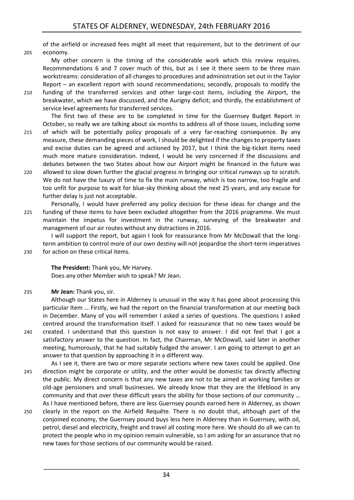of the airfield or increased fees might all meet that requirement, but to the detriment of our 205 economy.

My other concern is the timing of the considerable work which this review requires. Recommendations 6 and 7 cover much of this, but as I see it there seem to be three main workstreams: consideration of all changes to procedures and administration set out in the Taylor Report – an excellent report with sound recommendations; secondly, proposals to modify the

210 funding of the transferred services and other large-cost items, including the Airport, the breakwater, which we have discussed, and the Aurigny deficit; and thirdly, the establishment of service level agreements for transferred services.

The first two of these are to be completed in time for the Guernsey Budget Report in October, so really we are talking about six months to address all of those issues, including some

- 215 of which will be potentially policy proposals of a very far-reaching consequence. By any measure, these demanding pieces of work, I should be delighted if the changes to property taxes and excise duties can be agreed and actioned by 2017, but I think the big-ticket items need much more mature consideration. Indeed, I would be very concerned if the discussions and debates between the two States about how our Airport might be financed in the future was
- 220 allowed to slow down further the glacial progress in bringing our critical runways up to scratch. We do not have the luxury of time to fix the main runway, which is too narrow, too fragile and too unfit for purpose to wait for blue-sky thinking about the next 25 years, and any excuse for further delay is just not acceptable.
- Personally, I would have preferred any policy decision for these ideas for change and the 225 funding of these items to have been excluded altogether from the 2016 programme. We must maintain the impetus for investment in the runway, surveying of the breakwater and management of our air routes without any distractions in 2016.

I will support the report, but again I look for reassurance from Mr McDowall that the longterm ambition to control more of our own destiny will not jeopardise the short-term imperatives 230 for action on these critical items.

**The President:** Thank you, Mr Harvey. Does any other Member wish to speak? Mr Jean.

235 **Mr Jean:** Thank you, sir.

Although our States here in Alderney is unusual in the way it has gone about processing this particular Item … Firstly, we had the report on the financial transformation at our meeting back in December. Many of you will remember I asked a series of questions. The questions I asked centred around the transformation itself. I asked for reassurance that no new taxes would be 240 created. I understand that this question is not easy to answer. I did not feel that I got a

- satisfactory answer to the question. In fact, the Chairman, Mr McDowall, said later in another meeting, humorously, that he had suitably fudged the answer. I am going to attempt to get an answer to that question by approaching it in a different way.
- As I see it, there are two or more separate sections where new taxes could be applied. One 245 direction might be corporate or utility, and the other would be domestic tax directly affecting the public. My direct concern is that any new taxes are not to be aimed at working families or old-age pensioners and small businesses. We already know that they are the lifeblood in any community and that over these difficult years the ability for those sections of our community … As I have mentioned before, there are less Guernsey pounds earned here in Alderney, as shown
- 250 clearly in the report on the Airfield Requête. There is no doubt that, although part of the conjoined economy, the Guernsey pound buys less here in Alderney than in Guernsey, with oil, petrol, diesel and electricity, freight and travel all costing more here. We should do all we can to protect the people who in my opinion remain vulnerable, so I am asking for an assurance that no new taxes for those sections of our community would be raised.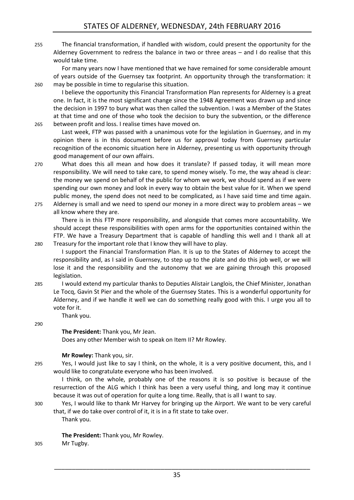255 The financial transformation, if handled with wisdom, could present the opportunity for the Alderney Government to redress the balance in two or three areas – and I do realise that this would take time.

For many years now I have mentioned that we have remained for some considerable amount of years outside of the Guernsey tax footprint. An opportunity through the transformation: it 260 may be possible in time to regularise this situation.

I believe the opportunity this Financial Transformation Plan represents for Alderney is a great one. In fact, it is the most significant change since the 1948 Agreement was drawn up and since the decision in 1997 to bury what was then called the subvention. I was a Member of the States at that time and one of those who took the decision to bury the subvention, or the difference 265 between profit and loss. I realise times have moved on.

Last week, FTP was passed with a unanimous vote for the legislation in Guernsey, and in my opinion there is in this document before us for approval today from Guernsey particular recognition of the economic situation here in Alderney, presenting us with opportunity through good management of our own affairs.

270 What does this all mean and how does it translate? If passed today, it will mean more responsibility. We will need to take care, to spend money wisely. To me, the way ahead is clear: the money we spend on behalf of the public for whom we work, we should spend as if we were spending our own money and look in every way to obtain the best value for it. When we spend public money, the spend does not need to be complicated, as I have said time and time again. 275 Alderney is small and we need to spend our money in a more direct way to problem areas – we

all know where they are.

There is in this FTP more responsibility, and alongside that comes more accountability. We should accept these responsibilities with open arms for the opportunities contained within the FTP. We have a Treasury Department that is capable of handling this well and I thank all at 280 Treasury for the important role that I know they will have to play.

I support the Financial Transformation Plan. It is up to the States of Alderney to accept the responsibility and, as I said in Guernsey, to step up to the plate and do this job well, or we will lose it and the responsibility and the autonomy that we are gaining through this proposed legislation.

285 I would extend my particular thanks to Deputies Alistair Langlois, the Chief Minister, Jonathan Le Tocq, Gavin St Pier and the whole of the Guernsey States. This is a wonderful opportunity for Alderney, and if we handle it well we can do something really good with this. I urge you all to vote for it.

Thank you.

#### 290

**The President:** Thank you, Mr Jean.

Does any other Member wish to speak on Item II? Mr Rowley.

#### **Mr Rowley:** Thank you, sir.

295 Yes, I would just like to say I think, on the whole, it is a very positive document, this, and I would like to congratulate everyone who has been involved.

I think, on the whole, probably one of the reasons it is so positive is because of the resurrection of the ALG which I think has been a very useful thing, and long may it continue because it was out of operation for quite a long time. Really, that is all I want to say.

300 Yes, I would like to thank Mr Harvey for bringing up the Airport. We want to be very careful that, if we do take over control of it, it is in a fit state to take over.

Thank you.

**The President:** Thank you, Mr Rowley.

305 Mr Tugby.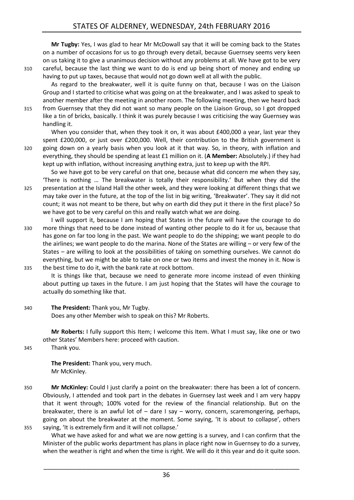**Mr Tugby:** Yes, I was glad to hear Mr McDowall say that it will be coming back to the States on a number of occasions for us to go through every detail, because Guernsey seems very keen on us taking it to give a unanimous decision without any problems at all. We have got to be very 310 careful, because the last thing we want to do is end up being short of money and ending up having to put up taxes, because that would not go down well at all with the public.

As regard to the breakwater, well it is quite funny on that, because I was on the Liaison Group and I started to criticise what was going on at the breakwater, and I was asked to speak to another member after the meeting in another room. The following meeting, then we heard back

315 from Guernsey that they did not want so many people on the Liaison Group, so I got dropped like a tin of bricks, basically. I think it was purely because I was criticising the way Guernsey was handling it.

When you consider that, when they took it on, it was about £400,000 a year, last year they spent £200,000, or just over £200,000. Well, their contribution to the British government is 320 going down on a yearly basis when you look at it that way. So, in theory, with inflation and everything, they should be spending at least £1 million on it. (**A Member:** Absolutely.) if they had kept up with inflation, without increasing anything extra, just to keep up with the RPI.

So we have got to be very careful on that one, because what did concern me when they say, 'There is nothing … The breakwater is totally their responsibility.' But when they did the 325 presentation at the Island Hall the other week, and they were looking at different things that we may take over in the future, at the top of the list in big writing, 'Breakwater'. They say it did not count; it was not meant to be there, but why on earth did they put it there in the first place? So we have got to be very careful on this and really watch what we are doing.

I will support it, because I am hoping that States in the future will have the courage to do 330 more things that need to be done instead of wanting other people to do it for us, because that has gone on far too long in the past. We want people to do the shipping; we want people to do the airlines; we want people to do the marina. None of the States are willing – or very few of the States – are willing to look at the possibilities of taking on something ourselves. We cannot do everything, but we might be able to take on one or two items and invest the money in it. Now is 335 the best time to do it, with the bank rate at rock bottom.

It is things like that, because we need to generate more income instead of even thinking about putting up taxes in the future. I am just hoping that the States will have the courage to actually do something like that.

## 340 **The President:** Thank you, Mr Tugby.

Does any other Member wish to speak on this? Mr Roberts.

**Mr Roberts:** I fully support this Item; I welcome this Item. What I must say, like one or two other States' Members here: proceed with caution.

345 Thank you.

**The President:** Thank you, very much. Mr McKinley.

350 **Mr McKinley:** Could I just clarify a point on the breakwater: there has been a lot of concern. Obviously, I attended and took part in the debates in Guernsey last week and I am very happy that it went through; 100% voted for the review of the financial relationship. But on the breakwater, there is an awful lot of – dare I say – worry, concern, scaremongering, perhaps, going on about the breakwater at the moment. Some saying, 'It is about to collapse', others 355 saying, 'It is extremely firm and it will not collapse.'

What we have asked for and what we are now getting is a survey, and I can confirm that the Minister of the public works department has plans in place right now in Guernsey to do a survey, when the weather is right and when the time is right. We will do it this year and do it quite soon.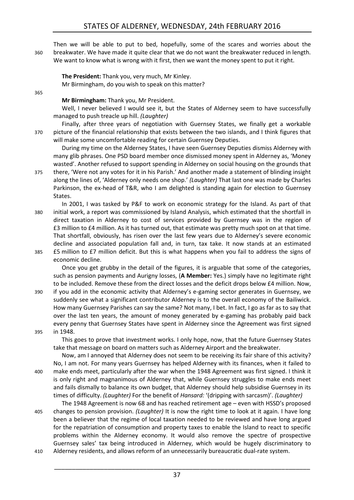Then we will be able to put to bed, hopefully, some of the scares and worries about the 360 breakwater. We have made it quite clear that we do not want the breakwater reduced in length. We want to know what is wrong with it first, then we want the money spent to put it right.

**The President:** Thank you, very much, Mr Kinley. Mr Birmingham, do you wish to speak on this matter?

365

**Mr Birmingham:** Thank you, Mr President.

Well, I never believed I would see it, but the States of Alderney seem to have successfully managed to push treacle up hill. *(Laughter)*

Finally, after three years of negotiation with Guernsey States, we finally get a workable 370 picture of the financial relationship that exists between the two islands, and I think figures that will make some uncomfortable reading for certain Guernsey Deputies.

During my time on the Alderney States, I have seen Guernsey Deputies dismiss Alderney with many glib phrases. One PSD board member once dismissed money spent in Alderney as, 'Money wasted'. Another refused to support spending in Alderney on social housing on the grounds that

375 there, 'Were not any votes for it in his Parish.' And another made a statement of blinding insight along the lines of, 'Alderney only needs one shop.' *(Laughter)* That last one was made by Charles Parkinson, the ex-head of T&R, who I am delighted is standing again for election to Guernsey States.

In 2001, I was tasked by P&F to work on economic strategy for the Island. As part of that 380 initial work, a report was commissioned by Island Analysis, which estimated that the shortfall in direct taxation in Alderney to cost of services provided by Guernsey was in the region of £3 million to £4 million. As it has turned out, that estimate was pretty much spot on at that time. That shortfall, obviously, has risen over the last few years due to Alderney's severe economic decline and associated population fall and, in turn, tax take. It now stands at an estimated 385 £5 million to £7 million deficit. But this is what happens when you fail to address the signs of economic decline.

Once you get grubby in the detail of the figures, it is arguable that some of the categories, such as pension payments and Aurigny losses, (**A Member:** Yes.) simply have no legitimate right to be included. Remove these from the direct losses and the deficit drops below £4 million. Now,

390 if you add in the economic activity that Alderney's e-gaming sector generates in Guernsey, we suddenly see what a significant contributor Alderney is to the overall economy of the Bailiwick. How many Guernsey Parishes can say the same? Not many, I bet. In fact, I go as far as to say that over the last ten years, the amount of money generated by e-gaming has probably paid back every penny that Guernsey States have spent in Alderney since the Agreement was first signed 395 in 1948.

This goes to prove that investment works. I only hope, now, that the future Guernsey States take that message on board on matters such as Alderney Airport and the breakwater.

Now, am I annoyed that Alderney does not seem to be receiving its fair share of this activity? No, I am not. For many years Guernsey has helped Alderney with its finances, when it failed to 400 make ends meet, particularly after the war when the 1948 Agreement was first signed. I think it is only right and magnanimous of Alderney that, while Guernsey struggles to make ends meet and fails dismally to balance its own budget, that Alderney should help subsidise Guernsey in its times of difficulty. *(Laughter)* For the benefit of *Hansard:* '(dripping with sarcasm)'. *(Laughter)* 

The 1948 Agreement is now 68 and has reached retirement age – even with HSSD's proposed 405 changes to pension provision. *(Laughter)* It is now the right time to look at it again. I have long been a believer that the regime of local taxation needed to be reviewed and have long argued for the repatriation of consumption and property taxes to enable the Island to react to specific problems within the Alderney economy. It would also remove the spectre of prospective Guernsey sales' tax being introduced in Alderney, which would be hugely discriminatory to 410 Alderney residents, and allows reform of an unnecessarily bureaucratic dual-rate system.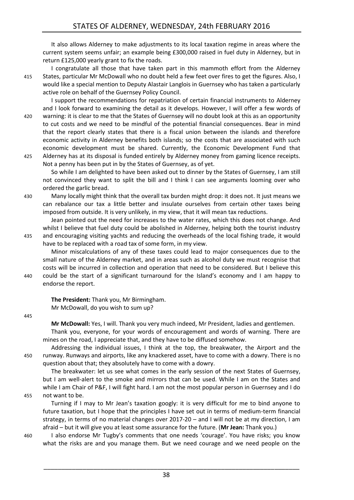It also allows Alderney to make adjustments to its local taxation regime in areas where the current system seems unfair; an example being £300,000 raised in fuel duty in Alderney, but in return £125,000 yearly grant to fix the roads.

I congratulate all those that have taken part in this mammoth effort from the Alderney 415 States, particular Mr McDowall who no doubt held a few feet over fires to get the figures. Also, I would like a special mention to Deputy Alastair Langlois in Guernsey who has taken a particularly active role on behalf of the Guernsey Policy Council.

I support the recommendations for repatriation of certain financial instruments to Alderney and I look forward to examining the detail as it develops. However, I will offer a few words of 420 warning: it is clear to me that the States of Guernsey will no doubt look at this as an opportunity to cut costs and we need to be mindful of the potential financial consequences. Bear in mind that the report clearly states that there is a fiscal union between the islands and therefore economic activity in Alderney benefits both islands; so the costs that are associated with such economic development must be shared. Currently, the Economic Development Fund that 425 Alderney has at its disposal is funded entirely by Alderney money from gaming licence receipts. Not a penny has been put in by the States of Guernsey, as of yet.

So while I am delighted to have been asked out to dinner by the States of Guernsey, I am still not convinced they want to split the bill and I think I can see arguments looming over who ordered the garlic bread.

430 Many locally might think that the overall tax burden might drop: it does not. It just means we can rebalance our tax a little better and insulate ourselves from certain other taxes being imposed from outside. It is very unlikely, in my view, that it will mean tax reductions.

Jean pointed out the need for increases to the water rates, which this does not change. And whilst I believe that fuel duty could be abolished in Alderney, helping both the tourist industry 435 and encouraging visiting yachts and reducing the overheads of the local fishing trade, it would have to be replaced with a road tax of some form, in my view.

Minor miscalculations of any of these taxes could lead to major consequences due to the small nature of the Alderney market, and in areas such as alcohol duty we must recognise that costs will be incurred in collection and operation that need to be considered. But I believe this 440 could be the start of a significant turnaround for the Island's economy and I am happy to endorse the report.

**The President:** Thank you, Mr Birmingham. Mr McDowall, do you wish to sum up?

445

**Mr McDowall:** Yes, I will. Thank you very much indeed, Mr President, ladies and gentlemen.

Thank you, everyone, for your words of encouragement and words of warning. There are mines on the road, I appreciate that, and they have to be diffused somehow.

Addressing the individual issues, I think at the top, the breakwater, the Airport and the 450 runway. Runways and airports, like any knackered asset, have to come with a dowry. There is no question about that; they absolutely have to come with a dowry.

The breakwater: let us see what comes in the early session of the next States of Guernsey, but I am well-alert to the smoke and mirrors that can be used. While I am on the States and while I am Chair of P&F, I will fight hard. I am not the most popular person in Guernsey and I do 455 not want to be.

Turning if I may to Mr Jean's taxation googly: it is very difficult for me to bind anyone to future taxation, but I hope that the principles I have set out in terms of medium-term financial strategy, in terms of no material changes over 2017-20 – and I will not be at my direction, I am afraid – but it will give you at least some assurance for the future. (**Mr Jean:** Thank you.)

\_\_\_\_\_\_\_\_\_\_\_\_\_\_\_\_\_\_\_\_\_\_\_\_\_\_\_\_\_\_\_\_\_\_\_\_\_\_\_\_\_\_\_\_\_\_\_\_\_\_\_\_\_\_\_\_\_\_\_\_\_\_\_\_\_\_\_\_\_\_\_\_

460 I also endorse Mr Tugby's comments that one needs 'courage'. You have risks; you know what the risks are and you manage them. But we need courage and we need people on the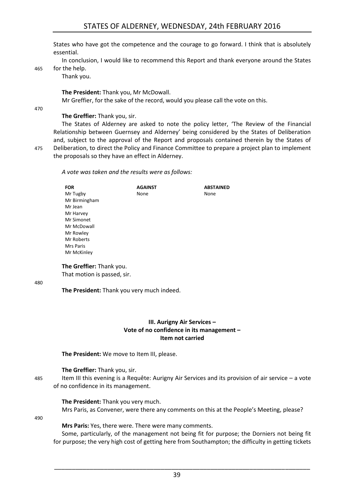States who have got the competence and the courage to go forward. I think that is absolutely essential.

In conclusion, I would like to recommend this Report and thank everyone around the States

465 for the help.

Thank you.

**The President:** Thank you, Mr McDowall.

Mr Greffier, for the sake of the record, would you please call the vote on this.

470

#### **The Greffier:** Thank you, sir.

The States of Alderney are asked to note the policy letter, 'The Review of the Financial Relationship between Guernsey and Alderney' being considered by the States of Deliberation and, subject to the approval of the Report and proposals contained therein by the States of 475 Deliberation, to direct the Policy and Finance Committee to prepare a project plan to implement the proposals so they have an effect in Alderney.

*A vote was taken and the results were as follows:*

| <b>FOR</b>    | <b>AGAINST</b> | <b>ABSTAINED</b> |
|---------------|----------------|------------------|
| Mr Tugby      | None           | None             |
| Mr Birmingham |                |                  |
| Mr Jean       |                |                  |
| Mr Harvey     |                |                  |
| Mr Simonet    |                |                  |
| Mr McDowall   |                |                  |
| Mr Rowley     |                |                  |
| Mr Roberts    |                |                  |
| Mrs Paris     |                |                  |
| Mr McKinley   |                |                  |

**The Greffier:** Thank you.

That motion is passed, sir.

480

<span id="page-12-0"></span>**The President:** Thank you very much indeed.

#### **III. Aurigny Air Services – Vote of no confidence in its management – Item not carried**

**The President:** We move to Item III, please.

#### **The Greffier:** Thank you, sir.

485 Item III this evening is a Requête: Aurigny Air Services and its provision of air service – a vote of no confidence in its management.

#### **The President:** Thank you very much.

Mrs Paris, as Convener, were there any comments on this at the People's Meeting, please?

490

**Mrs Paris:** Yes, there were. There were many comments.

Some, particularly, of the management not being fit for purpose; the Dorniers not being fit for purpose; the very high cost of getting here from Southampton; the difficulty in getting tickets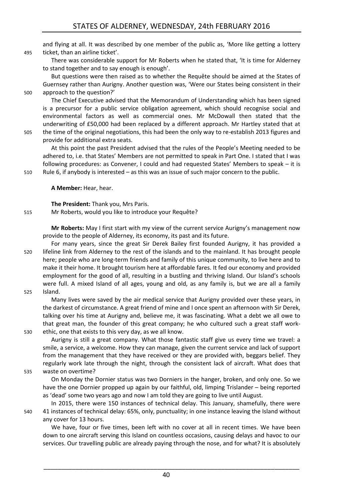and flying at all. It was described by one member of the public as, 'More like getting a lottery 495 ticket, than an airline ticket'.

There was considerable support for Mr Roberts when he stated that, 'It is time for Alderney to stand together and to say enough is enough'.

But questions were then raised as to whether the Requête should be aimed at the States of Guernsey rather than Aurigny. Another question was, 'Were our States being consistent in their 500 approach to the question?'

The Chief Executive advised that the Memorandum of Understanding which has been signed is a precursor for a public service obligation agreement, which should recognise social and environmental factors as well as commercial ones. Mr McDowall then stated that the underwriting of £50,000 had been replaced by a different approach. Mr Hartley stated that at 505 the time of the original negotiations, this had been the only way to re-establish 2013 figures and

provide for additional extra seats.

At this point the past President advised that the rules of the People's Meeting needed to be adhered to, i.e. that States' Members are not permitted to speak in Part One. I stated that I was following procedures: as Convener, I could and had requested States' Members to speak – it is 510 Rule 6, if anybody is interested – as this was an issue of such major concern to the public.

**A Member:** Hear, hear.

**The President:** Thank you, Mrs Paris.

515 Mr Roberts, would you like to introduce your Requête?

**Mr Roberts:** May I first start with my view of the current service Aurigny's management now provide to the people of Alderney, its economy, its past and its future.

For many years, since the great Sir Derek Bailey first founded Aurigny, it has provided a 520 lifeline link from Alderney to the rest of the islands and to the mainland. It has brought people here; people who are long-term friends and family of this unique community, to live here and to make it their home. It brought tourism here at affordable fares. It fed our economy and provided employment for the good of all, resulting in a bustling and thriving Island. Our Island's schools were full. A mixed Island of all ages, young and old, as any family is, but we are all a family 525 Island.

Many lives were saved by the air medical service that Aurigny provided over these years, in the darkest of circumstance. A great friend of mine and I once spent an afternoon with Sir Derek, talking over his time at Aurigny and, believe me, it was fascinating. What a debt we all owe to that great man, the founder of this great company; he who cultured such a great staff work-530 ethic, one that exists to this very day, as we all know.

Aurigny is still a great company. What those fantastic staff give us every time we travel: a smile, a service, a welcome. How they can manage, given the current service and lack of support from the management that they have received or they are provided with, beggars belief. They regularly work late through the night, through the consistent lack of aircraft. What does that 535 waste on overtime?

On Monday the Dornier status was two Dorniers in the hanger, broken, and only one. So we have the one Dornier propped up again by our faithful, old, limping Trislander – being reported as 'dead' some two years ago and now I am told they are going to live until August.

In 2015, there were 150 instances of technical delay. This January, shamefully, there were 540 41 instances of technical delay: 65%, only, punctuality; in one instance leaving the Island without any cover for 13 hours.

We have, four or five times, been left with no cover at all in recent times. We have been down to one aircraft serving this Island on countless occasions, causing delays and havoc to our services. Our travelling public are already paying through the nose, and for what? It is absolutely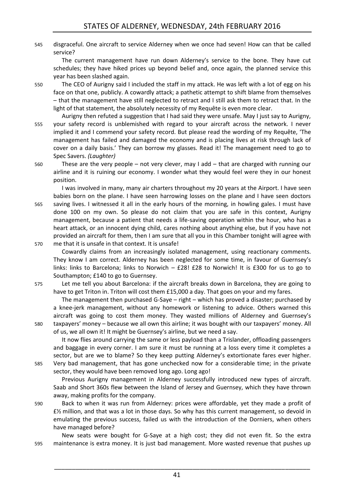545 disgraceful. One aircraft to service Alderney when we once had seven! How can that be called service?

The current management have run down Alderney's service to the bone. They have cut schedules; they have hiked prices up beyond belief and, once again, the planned service this year has been slashed again.

- 550 The CEO of Aurigny said I included the staff in my attack. He was left with a lot of egg on his face on that one, publicly. A cowardly attack; a pathetic attempt to shift blame from themselves – that the management have still neglected to retract and I still ask them to retract that. In the light of that statement, the absolutely necessity of my Requête is even more clear.
- Aurigny then refuted a suggestion that I had said they were unsafe. May I just say to Aurigny, 555 your safety record is unblemished with regard to your aircraft across the network. I never implied it and I commend your safety record. But please read the wording of my Requête, 'The management has failed and damaged the economy and is placing lives at risk through lack of cover on a daily basis.' They can borrow my glasses. Read it! The management need to go to Spec Savers. *(Laughter)*
- 560 These are the very people not very clever, may I add that are charged with running our airline and it is ruining our economy. I wonder what they would feel were they in our honest position.

I was involved in many, many air charters throughout my 20 years at the Airport. I have seen babies born on the plane. I have seen harrowing losses on the plane and I have seen doctors 565 saving lives. I witnessed it all in the early hours of the morning, in howling gales. I must have done 100 on my own. So please do not claim that you are safe in this context, Aurigny management, because a patient that needs a life-saving operation within the hour, who has a heart attack, or an innocent dying child, cares nothing about anything else, but if you have not provided an aircraft for them, then I am sure that all you in this Chamber tonight will agree with 570 me that it is unsafe in that context. It is unsafe!

Cowardly claims from an increasingly isolated management, using reactionary comments. They know I am correct. Alderney has been neglected for some time, in favour of Guernsey's links: links to Barcelona; links to Norwich –  $E28! E28$  to Norwich! It is £300 for us to go to Southampton; £140 to go to Guernsey.

575 Let me tell you about Barcelona: if the aircraft breaks down in Barcelona, they are going to have to get Triton in. Triton will cost them £15,000 a day. That goes on your and my fares.

The management then purchased G-Saye – right – which has proved a disaster; purchased by a knee-jerk management, without any homework or listening to advice. Others warned this aircraft was going to cost them money. They wasted millions of Alderney and Guernsey's 580 taxpayers' money – because we all own this airline; it was bought with our taxpayers' money. All of us, we all own it! It might be Guernsey's airline, but we need a say.

It now flies around carrying the same or less payload than a Trislander, offloading passengers and baggage in every corner. I am sure it must be running at a loss every time it completes a sector, but are we to blame? So they keep putting Alderney's extortionate fares ever higher.

585 Very bad management, that has gone unchecked now for a considerable time; in the private sector, they would have been removed long ago. Long ago!

Previous Aurigny management in Alderney successfully introduced new types of aircraft. Saab and Short 360s flew between the Island of Jersey and Guernsey, which they have thrown away, making profits for the company.

590 Back to when it was run from Alderney: prices were affordable, yet they made a profit of £½ million, and that was a lot in those days. So why has this current management, so devoid in emulating the previous success, failed us with the introduction of the Dorniers, when others have managed before?

New seats were bought for G-Saye at a high cost; they did not even fit. So the extra 595 maintenance is extra money. It is just bad management. More wasted revenue that pushes up

41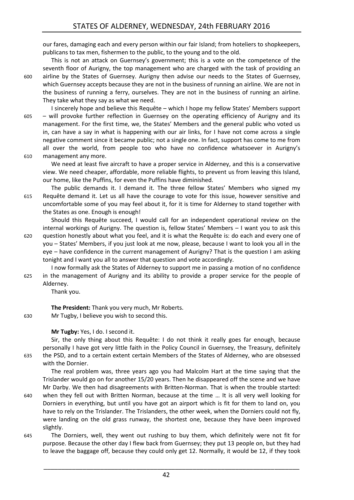our fares, damaging each and every person within our fair Island; from hoteliers to shopkeepers, publicans to tax men, fishermen to the public, to the young and to the old.

This is not an attack on Guernsey's government; this is a vote on the competence of the seventh floor of Aurigny, the top management who are charged with the task of providing an 600 airline by the States of Guernsey. Aurigny then advise our needs to the States of Guernsey, which Guernsey accepts because they are not in the business of running an airline. We are not in the business of running a ferry, ourselves. They are not in the business of running an airline. They take what they say as what we need.

I sincerely hope and believe this Requête – which I hope my fellow States' Members support 605 – will provoke further reflection in Guernsey on the operating efficiency of Aurigny and its management. For the first time, we, the States' Members and the general public who voted us in, can have a say in what is happening with our air links, for I have not come across a single negative comment since it became public; not a single one. In fact, support has come to me from all over the world, from people too who have no confidence whatsoever in Aurigny's 610 management any more.

We need at least five aircraft to have a proper service in Alderney, and this is a conservative view. We need cheaper, affordable, more reliable flights, to prevent us from leaving this Island, our home, like the Puffins, for even the Puffins have diminished.

The public demands it. I demand it. The three fellow States' Members who signed my 615 Requête demand it. Let us all have the courage to vote for this issue, however sensitive and uncomfortable some of you may feel about it, for it is time for Alderney to stand together with the States as one. Enough is enough!

Should this Requête succeed, I would call for an independent operational review on the internal workings of Aurigny. The question is, fellow States' Members – I want you to ask this 620 question honestly about what you feel, and it is what the Requête is: do each and every one of you – States' Members, if you just look at me now, please, because I want to look you all in the

eye – have confidence in the current management of Aurigny? That is the question I am asking tonight and I want you all to answer that question and vote accordingly.

I now formally ask the States of Alderney to support me in passing a motion of no confidence 625 in the management of Aurigny and its ability to provide a proper service for the people of Alderney.

Thank you.

**The President:** Thank you very much, Mr Roberts.

630 Mr Tugby, I believe you wish to second this.

#### **Mr Tugby:** Yes, I do. I second it.

Sir, the only thing about this Requête: I do not think it really goes far enough, because personally I have got very little faith in the Policy Council in Guernsey, the Treasury, definitely 635 the PSD, and to a certain extent certain Members of the States of Alderney, who are obsessed

with the Dornier.

The real problem was, three years ago you had Malcolm Hart at the time saying that the Trislander would go on for another 15/20 years. Then he disappeared off the scene and we have Mr Darby. We then had disagreements with Britten-Norman. That is when the trouble started:

- 640 when they fell out with Britten Norman, because at the time … It is all very well looking for Dorniers in everything, but until you have got an airport which is fit for them to land on, you have to rely on the Trislander. The Trislanders, the other week, when the Dorniers could not fly, were landing on the old grass runway, the shortest one, because they have been improved slightly.
- 645 The Dorniers, well, they went out rushing to buy them, which definitely were not fit for purpose. Because the other day I flew back from Guernsey; they put 13 people on, but they had to leave the baggage off, because they could only get 12. Normally, it would be 12, if they took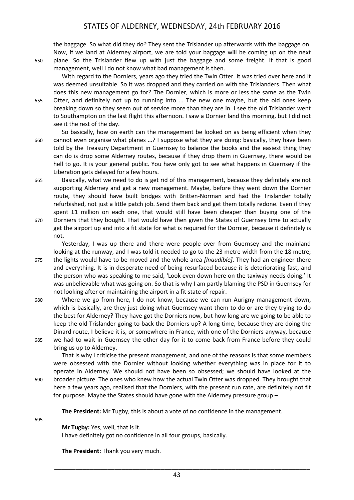the baggage. So what did they do? They sent the Trislander up afterwards with the baggage on. Now, if we land at Alderney airport, we are told your baggage will be coming up on the next 650 plane. So the Trislander flew up with just the baggage and some freight. If that is good management, well I do not know what bad management is then.

With regard to the Dorniers, years ago they tried the Twin Otter. It was tried over here and it was deemed unsuitable. So it was dropped and they carried on with the Trislanders. Then what does this new management go for? The Dornier, which is more or less the same as the Twin 655 Otter, and definitely not up to running into … The new one maybe, but the old ones keep breaking down so they seem out of service more than they are in. I see the old Trislander went to Southampton on the last flight this afternoon. I saw a Dornier land this morning, but I did not see it the rest of the day.

So basically, how on earth can the management be looked on as being efficient when they 660 cannot even organise what planes …? I suppose what they are doing: basically, they have been told by the Treasury Department in Guernsey to balance the books and the easiest thing they can do is drop some Alderney routes, because if they drop them in Guernsey, there would be hell to go. It is your general public. You have only got to see what happens in Guernsey if the Liberation gets delayed for a few hours.

665 Basically, what we need to do is get rid of this management, because they definitely are not supporting Alderney and get a new management. Maybe, before they went down the Dornier route, they should have built bridges with Britten-Norman and had the Trislander totally refurbished, not just a little patch job. Send them back and get them totally redone. Even if they spent £1 million on each one, that would still have been cheaper than buying one of the 670 Dorniers that they bought. That would have then given the States of Guernsey time to actually get the airport up and into a fit state for what is required for the Dornier, because it definitely is not.

Yesterday, I was up there and there were people over from Guernsey and the mainland looking at the runway, and I was told it needed to go to the 23 metre width from the 18 metre; 675 the lights would have to be moved and the whole area *[Inaudible]*. They had an engineer there and everything. It is in desperate need of being resurfaced because it is deteriorating fast, and

the person who was speaking to me said, 'Look even down here on the taxiway needs doing.' It was unbelievable what was going on. So that is why I am partly blaming the PSD in Guernsey for not looking after or maintaining the airport in a fit state of repair.

680 Where we go from here, I do not know, because we can run Aurigny management down, which is basically, are they just doing what Guernsey want them to do or are they trying to do the best for Alderney? They have got the Dorniers now, but how long are we going to be able to keep the old Trislander going to back the Dorniers up? A long time, because they are doing the Dinard route, I believe it is, or somewhere in France, with one of the Dorniers anyway, because 685 we had to wait in Guernsey the other day for it to come back from France before they could bring us up to Alderney.

That is why I criticise the present management, and one of the reasons is that some members were obsessed with the Dornier without looking whether everything was in place for it to operate in Alderney. We should not have been so obsessed; we should have looked at the 690 broader picture. The ones who knew how the actual Twin Otter was dropped. They brought that here a few years ago, realised that the Dorniers, with the present run rate, are definitely not fit for purpose. Maybe the States should have gone with the Alderney pressure group –

**The President:** Mr Tugby, this is about a vote of no confidence in the management.

695

**Mr Tugby:** Yes, well, that is it.

I have definitely got no confidence in all four groups, basically.

**The President:** Thank you very much.

43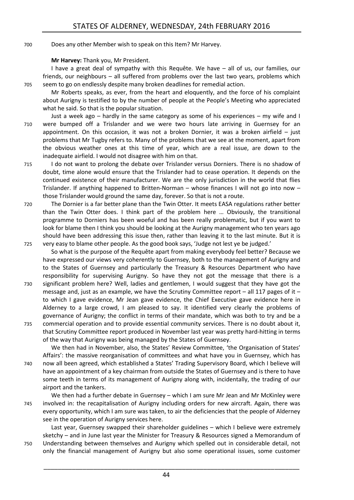#### 700 Does any other Member wish to speak on this Item? Mr Harvey.

#### **Mr Harvey:** Thank you, Mr President.

I have a great deal of sympathy with this Requête. We have – all of us, our families, our friends, our neighbours – all suffered from problems over the last two years, problems which 705 seem to go on endlessly despite many broken deadlines for remedial action.

Mr Roberts speaks, as ever, from the heart and eloquently, and the force of his complaint about Aurigny is testified to by the number of people at the People's Meeting who appreciated what he said. So that is the popular situation.

Just a week ago – hardly in the same category as some of his experiences – my wife and I 710 were bumped off a Trislander and we were two hours late arriving in Guernsey for an appointment. On this occasion, it was not a broken Dornier, it was a broken airfield  $-$  just problems that Mr Tugby refers to. Many of the problems that we see at the moment, apart from the obvious weather ones at this time of year, which are a real issue, are down to the inadequate airfield. I would not disagree with him on that.

715 I do not want to prolong the debate over Trislander versus Dorniers. There is no shadow of doubt, time alone would ensure that the Trislander had to cease operation. It depends on the continued existence of their manufacturer. We are the only jurisdiction in the world that flies Trislander. If anything happened to Britten-Norman – whose finances I will not go into now – those Trislander would ground the same day, forever. So that is not a route.

720 The Dornier is a far better plane than the Twin Otter. It meets EASA regulations rather better than the Twin Otter does. I think part of the problem here … Obviously, the transitional programme to Dorniers has been woeful and has been really problematic, but if you want to look for blame then I think you should be looking at the Aurigny management who ten years ago should have been addressing this issue then, rather than leaving it to the last minute. But it is 725 very easy to blame other people. As the good book says, 'Judge not lest ye be judged.'

So what is the purpose of the Requête apart from making everybody feel better? Because we have expressed our views very coherently to Guernsey, both to the management of Aurigny and to the States of Guernsey and particularly the Treasury & Resources Department who have responsibility for supervising Aurigny. So have they not got the message that there is a

- 730 significant problem here? Well, ladies and gentlemen, I would suggest that they have got the message and, just as an example, we have the Scrutiny Committee report – all 117 pages of it – to which I gave evidence, Mr Jean gave evidence, the Chief Executive gave evidence here in Alderney to a large crowd, I am pleased to say. It identified very clearly the problems of governance of Aurigny; the conflict in terms of their mandate, which was both to try and be a
- 735 commercial operation and to provide essential community services. There is no doubt about it, that Scrutiny Committee report produced in November last year was pretty hard-hitting in terms of the way that Aurigny was being managed by the States of Guernsey.

We then had in November, also, the States' Review Committee, 'the Organisation of States' Affairs': the massive reorganisation of committees and what have you in Guernsey, which has 740 now all been agreed, which established a States' Trading Supervisory Board, which I believe will have an appointment of a key chairman from outside the States of Guernsey and is there to have some teeth in terms of its management of Aurigny along with, incidentally, the trading of our airport and the tankers.

We then had a further debate in Guernsey – which I am sure Mr Jean and Mr McKinley were 745 involved in: the recapitalisation of Aurigny including orders for new aircraft. Again, there was every opportunity, which I am sure was taken, to air the deficiencies that the people of Alderney see in the operation of Aurigny services here.

Last year, Guernsey swapped their shareholder guidelines – which I believe were extremely sketchy – and in June last year the Minister for Treasury & Resources signed a Memorandum of 750 Understanding between themselves and Aurigny which spelled out in considerable detail, not only the financial management of Aurigny but also some operational issues, some customer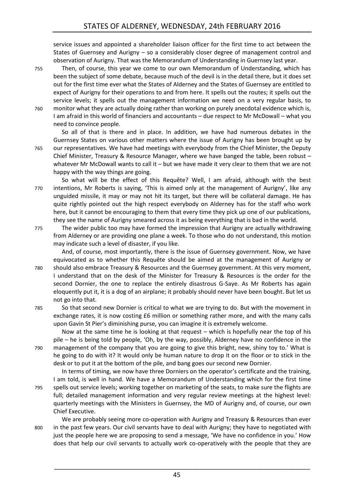service issues and appointed a shareholder liaison officer for the first time to act between the States of Guernsey and Aurigny – so a considerably closer degree of management control and observation of Aurigny. That was the Memorandum of Understanding in Guernsey last year.

755 Then, of course, this year we come to our own Memorandum of Understanding, which has been the subject of some debate, because much of the devil is in the detail there, but it does set out for the first time ever what the States of Alderney and the States of Guernsey are entitled to expect of Aurigny for their operations to and from here. It spells out the routes; it spells out the service levels; it spells out the management information we need on a very regular basis, to 760 monitor what they are actually doing rather than working on purely anecdotal evidence which is, I am afraid in this world of financiers and accountants – due respect to Mr McDowall – what you need to convince people.

So all of that is there and in place. In addition, we have had numerous debates in the Guernsey States on various other matters where the issue of Aurigny has been brought up by 765 our representatives. We have had meetings with everybody from the Chief Minister, the Deputy Chief Minister, Treasury & Resource Manager, where we have banged the table, been robust – whatever Mr McDowall wants to call it – but we have made it very clear to them that we are not happy with the way things are going.

So what will be the effect of this Requête? Well, I am afraid, although with the best 770 intentions, Mr Roberts is saying, 'This is aimed only at the management of Aurigny', like any unguided missile, it may or may not hit its target, but there will be collateral damage. He has quite rightly pointed out the high respect everybody on Alderney has for the staff who work here, but it cannot be encouraging to them that every time they pick up one of our publications, they see the name of Aurigny smeared across it as being everything that is bad in the world.

775 The wider public too may have formed the impression that Aurigny are actually withdrawing from Alderney or are providing one plane a week. To those who do not understand, this motion may indicate such a level of disaster, if you like.

And, of course, most importantly, there is the issue of Guernsey government. Now, we have equivocated as to whether this Requête should be aimed at the management of Aurigny or 780 should also embrace Treasury & Resources and the Guernsey government. At this very moment, I understand that on the desk of the Minister for Treasury & Resources is the order for the second Dornier, the one to replace the entirely disastrous G-Saye. As Mr Roberts has again eloquently put it, it is a dog of an airplane; it probably should never have been bought. But let us not go into that.

785 So that second new Dornier is critical to what we are trying to do. But with the movement in exchange rates, it is now costing £6 million or something rather more, and with the many calls upon Gavin St Pier's diminishing purse, you can imagine it is extremely welcome.

Now at the same time he is looking at that request – which is hopefully near the top of his pile – he is being told by people, 'Oh, by the way, possibly, Alderney have no confidence in the 790 management of the company that you are going to give this bright, new, shiny toy to.' What is he going to do with it? It would only be human nature to drop it on the floor or to stick in the desk or to put it at the bottom of the pile, and bang goes our second new Dornier.

In terms of timing, we now have three Dorniers on the operator's certificate and the training, I am told, is well in hand. We have a Memorandum of Understanding which for the first time 795 spells out service levels; working together on marketing of the seats, to make sure the flights are full; detailed management information and very regular review meetings at the highest level: quarterly meetings with the Ministers in Guernsey, the MD of Aurigny and, of course, our own Chief Executive.

We are probably seeing more co-operation with Aurigny and Treasury & Resources than ever 800 in the past few years. Our civil servants have to deal with Aurigny; they have to negotiated with just the people here we are proposing to send a message, 'We have no confidence in you.' How does that help our civil servants to actually work co-operatively with the people that they are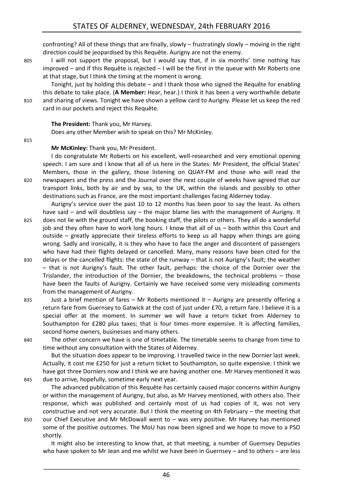confronting? All of these things that are finally, slowly – frustratingly slowly – moving in the right direction could be jeopardised by this Requête. Aurigny are not the enemy.

805 I will not support the proposal, but I would say that, if in six months' time nothing has improved – and if this Requête is rejected – I will be the first in the queue with Mr Roberts one at that stage, but I think the timing at the moment is wrong.

Tonight, just by holding this debate – and I thank those who signed the Requête for enabling this debate to take place. (**A Member:** Hear, hear.) I think it has been a very worthwhile debate 810 and sharing of views. Tonight we have shown a yellow card to Aurigny. Please let us keep the red card in our pockets and reject this Requête.

#### **The President:** Thank you, Mr Harvey.

Does any other Member wish to speak on this? Mr McKinley.

#### **Mr McKinley:** Thank you, Mr President.

I do congratulate Mr Roberts on his excellent, well-researched and very emotional opening speech. I am sure and I know that all of us here in the States: Mr President, the official States' Members, those in the gallery, those listening on QUAY-FM and those who will read the 820 newspapers and the press and the Journal over the next couple of weeks have agreed that our transport links, both by air and by sea, to the UK, within the islands and possibly to other destinations such as France, are the most important challenges facing Alderney today.

Aurigny's service over the past 10 to 12 months has been poor to say the least. As others have said – and will doubtless say – the major blame lies with the management of Aurigny. It

- 825 does not lie with the ground staff, the booking staff, the pilots or others. They all do a wonderful job and they often have to work long hours. I know that all of us – both within this Court and outside – greatly appreciate their tireless efforts to keep us all happy when things are going wrong. Sadly and ironically, it is they who have to face the anger and discontent of passengers who have had their flights delayed or cancelled. Many, many reasons have been cited for the
- 830 delays or the cancelled flights: the state of the runway that is not Aurigny's fault; the weather – that is not Aurigny's fault. The other fault, perhaps: the choice of the Dornier over the Trislander, the introduction of the Dornier, the breakdowns, the technical problems – those have been the faults of Aurigny. Certainly we have received some very misleading comments from the management of Aurigny.
- 835 Just a brief mention of fares Mr Roberts mentioned it Aurigny are presently offering a return fare from Guernsey to Gatwick at the cost of just under £70, a return fare. I believe it is a special offer at the moment. In summer we will have a return ticket from Alderney to Southampton for £280 plus taxes; that is four times more expensive. It is affecting families, second home owners, businesses and many others.
- 

840 The other concern we have is one of timetable. The timetable seems to change from time to time without any consultation with the States of Alderney.

But the situation does appear to be improving. I travelled twice in the new Dornier last week. Actually, it cost me £250 for just a return ticket to Southampton, so quite expensive. I think we have got three Dorniers now and I think we are having another one. Mr Harvey mentioned it was 845 due to arrive, hopefully, sometime early next year.

The advanced publication of this Requête has certainly caused major concerns within Aurigny or within the management of Aurigny, but also, as Mr Harvey mentioned, with others also. Their response, which was published and certainly most of us had copies of it, was not very constructive and not very accurate. But I think the meeting on 4th February – the meeting that 850 our Chief Executive and Mr McDowall went to – was very positive. Mr Harvey has mentioned some of the positive outcomes. The MoU has now been signed and we hope to move to a PSO shortly.

It might also be interesting to know that, at that meeting, a number of Guernsey Deputies who have spoken to Mr Jean and me whilst we have been in Guernsey – and to others – are less

\_\_\_\_\_\_\_\_\_\_\_\_\_\_\_\_\_\_\_\_\_\_\_\_\_\_\_\_\_\_\_\_\_\_\_\_\_\_\_\_\_\_\_\_\_\_\_\_\_\_\_\_\_\_\_\_\_\_\_\_\_\_\_\_\_\_\_\_\_\_\_\_

815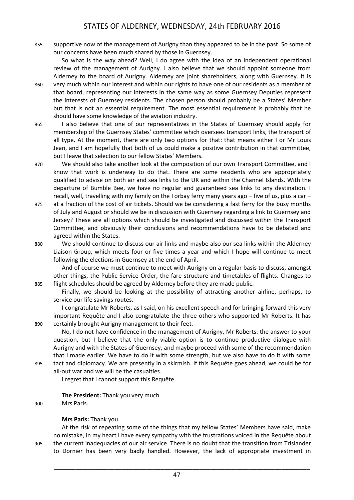855 supportive now of the management of Aurigny than they appeared to be in the past. So some of our concerns have been much shared by those in Guernsey.

So what is the way ahead? Well, I do agree with the idea of an independent operational review of the management of Aurigny. I also believe that we should appoint someone from Alderney to the board of Aurigny. Alderney are joint shareholders, along with Guernsey. It is

- 860 very much within our interest and within our rights to have one of our residents as a member of that board, representing our interests in the same way as some Guernsey Deputies represent the interests of Guernsey residents. The chosen person should probably be a States' Member but that is not an essential requirement. The most essential requirement is probably that he should have some knowledge of the aviation industry.
- 865 I also believe that one of our representatives in the States of Guernsey should apply for membership of the Guernsey States' committee which oversees transport links, the transport of all type. At the moment, there are only two options for that: that means either I or Mr Louis Jean, and I am hopefully that both of us could make a positive contribution in that committee, but I leave that selection to our fellow States' Members.
- 870 We should also take another look at the composition of our own Transport Committee, and I know that work is underway to do that. There are some residents who are appropriately qualified to advise on both air and sea links to the UK and within the Channel Islands. With the departure of Bumble Bee, we have no regular and guaranteed sea links to any destination. I recall, well, travelling with my family on the Torbay ferry many years ago – five of us, plus a car –
- 875 at a fraction of the cost of air tickets. Should we be considering a fast ferry for the busy months of July and August or should we be in discussion with Guernsey regarding a link to Guernsey and Jersey? These are all options which should be investigated and discussed within the Transport Committee, and obviously their conclusions and recommendations have to be debated and agreed within the States.
- 880 We should continue to discuss our air links and maybe also our sea links within the Alderney Liaison Group, which meets four or five times a year and which I hope will continue to meet following the elections in Guernsey at the end of April.

And of course we must continue to meet with Aurigny on a regular basis to discuss, amongst other things, the Public Service Order, the fare structure and timetables of flights. Changes to 885 flight schedules should be agreed by Alderney before they are made public.

Finally, we should be looking at the possibility of attracting another airline, perhaps, to service our life savings routes.

I congratulate Mr Roberts, as I said, on his excellent speech and for bringing forward this very important Requête and I also congratulate the three others who supported Mr Roberts. It has 890 certainly brought Aurigny management to their feet.

No, I do not have confidence in the management of Aurigny, Mr Roberts: the answer to your question, but I believe that the only viable option is to continue productive dialogue with Aurigny and with the States of Guernsey, and maybe proceed with some of the recommendation that I made earlier. We have to do it with some strength, but we also have to do it with some 895 tact and diplomacy. We are presently in a skirmish. If this Requête goes ahead, we could be for

all-out war and we will be the casualties. I regret that I cannot support this Requête.

**The President:** Thank you very much.

900 Mrs Paris.

#### **Mrs Paris:** Thank you.

At the risk of repeating some of the things that my fellow States' Members have said, make no mistake, in my heart I have every sympathy with the frustrations voiced in the Requête about 905 the current inadequacies of our air service. There is no doubt that the transition from Trislander to Dornier has been very badly handled. However, the lack of appropriate investment in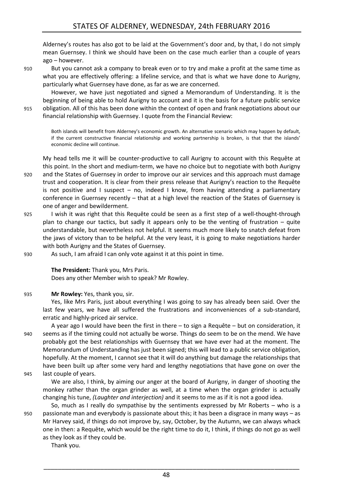Alderney's routes has also got to be laid at the Government's door and, by that, I do not simply mean Guernsey. I think we should have been on the case much earlier than a couple of years ago – however.

910 But you cannot ask a company to break even or to try and make a profit at the same time as what you are effectively offering: a lifeline service, and that is what we have done to Aurigny, particularly what Guernsey have done, as far as we are concerned.

However, we have just negotiated and signed a Memorandum of Understanding. It is the beginning of being able to hold Aurigny to account and it is the basis for a future public service 915 obligation. All of this has been done within the context of open and frank negotiations about our financial relationship with Guernsey. I quote from the Financial Review:

Both islands will benefit from Alderney's economic growth. An alternative scenario which may happen by default, if the current constructive financial relationship and working partnership is broken, is that that the islands' economic decline will continue.

My head tells me it will be counter-productive to call Aurigny to account with this Requête at this point. In the short and medium-term, we have no choice but to negotiate with both Aurigny 920 and the States of Guernsey in order to improve our air services and this approach must damage

- trust and cooperation. It is clear from their press release that Aurigny's reaction to the Requête is not positive and I suspect – no, indeed I know, from having attending a parliamentary conference in Guernsey recently – that at a high level the reaction of the States of Guernsey is one of anger and bewilderment.
- 925 I wish it was right that this Requête could be seen as a first step of a well-thought-through plan to change our tactics, but sadly it appears only to be the venting of frustration – quite understandable, but nevertheless not helpful. It seems much more likely to snatch defeat from the jaws of victory than to be helpful. At the very least, it is going to make negotiations harder with both Aurigny and the States of Guernsey.
- 930 As such, I am afraid I can only vote against it at this point in time.

#### **The President:** Thank you, Mrs Paris.

Does any other Member wish to speak? Mr Rowley.

#### 935 **Mr Rowley:** Yes, thank you, sir.

Yes, like Mrs Paris, just about everything I was going to say has already been said. Over the last few years, we have all suffered the frustrations and inconveniences of a sub-standard, erratic and highly-priced air service.

A year ago I would have been the first in there – to sign a Requête – but on consideration, it 940 seems as if the timing could not actually be worse. Things do seem to be on the mend. We have probably got the best relationships with Guernsey that we have ever had at the moment. The Memorandum of Understanding has just been signed; this will lead to a public service obligation, hopefully. At the moment, I cannot see that it will do anything but damage the relationships that have been built up after some very hard and lengthy negotiations that have gone on over the 945 last couple of years.

We are also, I think, by aiming our anger at the board of Aurigny, in danger of shooting the monkey rather than the organ grinder as well, at a time when the organ grinder is actually changing his tune, *(Laughter and interjection)* and it seems to me as if it is not a good idea.

So, much as I really do sympathise by the sentiments expressed by Mr Roberts – who is a 950 passionate man and everybody is passionate about this; it has been a disgrace in many ways – as Mr Harvey said, if things do not improve by, say, October, by the Autumn, we can always whack one in then: a Requête, which would be the right time to do it, I think, if things do not go as well as they look as if they could be.

Thank you.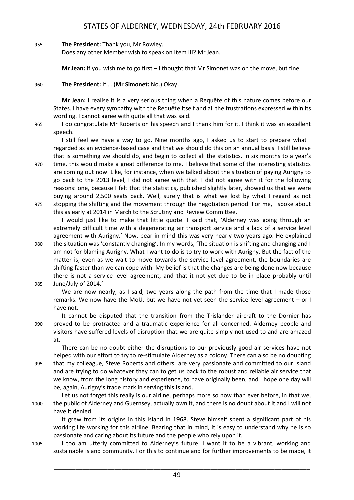#### 955 **The President:** Thank you, Mr Rowley.

Does any other Member wish to speak on Item III? Mr Jean.

**Mr Jean:** If you wish me to go first – I thought that Mr Simonet was on the move, but fine.

#### 960 **The President:** If … (**Mr Simonet:** No.) Okay.

**Mr Jean:** I realise it is a very serious thing when a Requête of this nature comes before our States. I have every sympathy with the Requête itself and all the frustrations expressed within its wording. I cannot agree with quite all that was said.

965 I do congratulate Mr Roberts on his speech and I thank him for it. I think it was an excellent speech.

I still feel we have a way to go. Nine months ago, I asked us to start to prepare what I regarded as an evidence-based case and that we should do this on an annual basis. I still believe that is something we should do, and begin to collect all the statistics. In six months to a year's

970 time, this would make a great difference to me. I believe that some of the interesting statistics are coming out now. Like, for instance, when we talked about the situation of paying Aurigny to go back to the 2013 level, I did not agree with that. I did not agree with it for the following reasons: one, because I felt that the statistics, published slightly later, showed us that we were buying around 2,500 seats back. Well, surely that is what we lost by what I regard as not 975 stopping the shifting and the movement through the negotiation period. For me, I spoke about

this as early at 2014 in March to the Scrutiny and Review Committee.

I would just like to make that little quote. I said that, 'Alderney was going through an extremely difficult time with a degenerating air transport service and a lack of a service level agreement with Aurigny.' Now, bear in mind this was very nearly two years ago. He explained

980 the situation was 'constantly changing'. In my words, 'The situation is shifting and changing and I am not for blaming Aurigny. What I want to do is to try to work with Aurigny. But the fact of the matter is, even as we wait to move towards the service level agreement, the boundaries are shifting faster than we can cope with. My belief is that the changes are being done now because there is not a service level agreement, and that it not yet due to be in place probably until 985 June/July of 2014.'

We are now nearly, as I said, two years along the path from the time that I made those remarks. We now have the MoU, but we have not yet seen the service level agreement – or I have not.

It cannot be disputed that the transition from the Trislander aircraft to the Dornier has 990 proved to be protracted and a traumatic experience for all concerned. Alderney people and visitors have suffered levels of disruption that we are quite simply not used to and are amazed at.

There can be no doubt either the disruptions to our previously good air services have not helped with our effort to try to re-stimulate Alderney as a colony. There can also be no doubting 995 that my colleague, Steve Roberts and others, are very passionate and committed to our Island and are trying to do whatever they can to get us back to the robust and reliable air service that we know, from the long history and experience, to have originally been, and I hope one day will be, again, Aurigny's trade mark in serving this Island.

Let us not forget this really is our airline, perhaps more so now than ever before, in that we, 1000 the public of Alderney and Guernsey, actually own it, and there is no doubt about it and I will not have it denied.

It grew from its origins in this Island in 1968. Steve himself spent a significant part of his working life working for this airline. Bearing that in mind, it is easy to understand why he is so passionate and caring about its future and the people who rely upon it.

1005 I too am utterly committed to Alderney's future. I want it to be a vibrant, working and sustainable island community. For this to continue and for further improvements to be made, it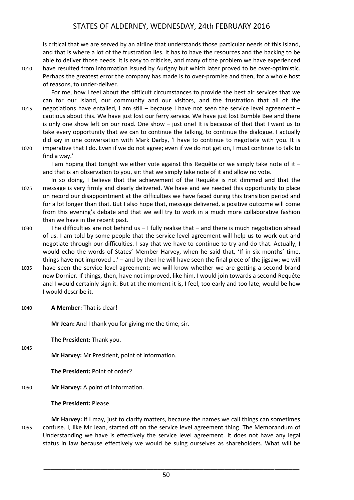is critical that we are served by an airline that understands those particular needs of this Island, and that is where a lot of the frustration lies. It has to have the resources and the backing to be able to deliver those needs. It is easy to criticise, and many of the problem we have experienced 1010 have resulted from information issued by Aurigny but which later proved to be over-optimistic. Perhaps the greatest error the company has made is to over-promise and then, for a whole host of reasons, to under-deliver.

For me, how I feel about the difficult circumstances to provide the best air services that we can for our Island, our community and our visitors, and the frustration that all of the 1015 negotiations have entailed, I am still – because I have not seen the service level agreement – cautious about this. We have just lost our ferry service. We have just lost Bumble Bee and there is only one show left on our road. One show – just one! It is because of that that I want us to take every opportunity that we can to continue the talking, to continue the dialogue. I actually did say in one conversation with Mark Darby, 'I have to continue to negotiate with you. It is 1020 imperative that I do. Even if we do not agree; even if we do not get on, I must continue to talk to find a way.'

I am hoping that tonight we either vote against this Requête or we simply take note of it  $$ and that is an observation to you, sir: that we simply take note of it and allow no vote.

In so doing, I believe that the achievement of the Requête is not dimmed and that the 1025 message is very firmly and clearly delivered. We have and we needed this opportunity to place on record our disappointment at the difficulties we have faced during this transition period and for a lot longer than that. But I also hope that, message delivered, a positive outcome will come from this evening's debate and that we will try to work in a much more collaborative fashion than we have in the recent past.

- 1030 The difficulties are not behind us I fully realise that and there is much negotiation ahead of us. I am told by some people that the service level agreement will help us to work out and negotiate through our difficulties. I say that we have to continue to try and do that. Actually, I would echo the words of States' Member Harvey, when he said that, 'If in six months' time, things have not improved …' – and by then he will have seen the final piece of the jigsaw; we will
- 1035 have seen the service level agreement; we will know whether we are getting a second brand new Dornier. If things, then, have not improved, like him, I would join towards a second Requête and I would certainly sign it. But at the moment it is, I feel, too early and too late, would be how I would describe it.
- 1040 **A Member:** That is clear!

1045

**Mr Jean:** And I thank you for giving me the time, sir.

**The President:** Thank you.

**Mr Harvey:** Mr President, point of information.

**The President:** Point of order?

1050 **Mr Harvey:** A point of information.

**The President:** Please.

**Mr Harvey:** If I may, just to clarify matters, because the names we call things can sometimes 1055 confuse. I, like Mr Jean, started off on the service level agreement thing. The Memorandum of Understanding we have is effectively the service level agreement. It does not have any legal status in law because effectively we would be suing ourselves as shareholders. What will be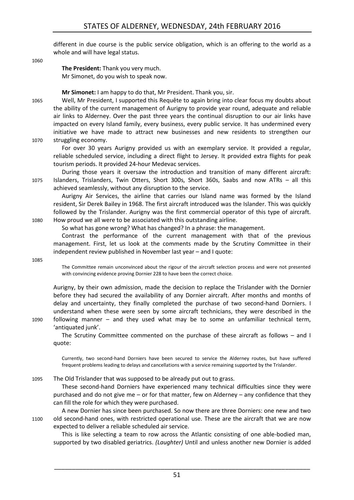different in due course is the public service obligation, which is an offering to the world as a whole and will have legal status.

1060

**The President:** Thank you very much. Mr Simonet, do you wish to speak now.

**Mr Simonet:** I am happy to do that, Mr President. Thank you, sir.

1065 Well, Mr President, I supported this Requête to again bring into clear focus my doubts about the ability of the current management of Aurigny to provide year round, adequate and reliable air links to Alderney. Over the past three years the continual disruption to our air links have impacted on every Island family, every business, every public service. It has undermined every initiative we have made to attract new businesses and new residents to strengthen our 1070 struggling economy.

For over 30 years Aurigny provided us with an exemplary service. It provided a regular, reliable scheduled service, including a direct flight to Jersey. It provided extra flights for peak tourism periods. It provided 24-hour Medevac services.

During those years it oversaw the introduction and transition of many different aircraft: 1075 Islanders, Trislanders, Twin Otters, Short 300s, Short 360s, Saabs and now ATRs – all this achieved seamlessly, without any disruption to the service.

Aurigny Air Services, the airline that carries our Island name was formed by the Island resident, Sir Derek Bailey in 1968. The first aircraft introduced was the Islander. This was quickly followed by the Trislander. Aurigny was the first commercial operator of this type of aircraft. 1080 How proud we all were to be associated with this outstanding airline.

So what has gone wrong? What has changed? In a phrase: the management.

Contrast the performance of the current management with that of the previous management. First, let us look at the comments made by the Scrutiny Committee in their independent review published in November last year – and I quote:

1085

The Committee remain unconvinced about the rigour of the aircraft selection process and were not presented with convincing evidence proving Dornier 228 to have been the correct choice.

Aurigny, by their own admission, made the decision to replace the Trislander with the Dornier before they had secured the availability of any Dornier aircraft. After months and months of delay and uncertainty, they finally completed the purchase of two second-hand Dorniers. I understand when these were seen by some aircraft technicians, they were described in the 1090 following manner – and they used what may be to some an unfamiliar technical term, 'antiquated junk'.

The Scrutiny Committee commented on the purchase of these aircraft as follows – and I quote:

Currently, two second-hand Dorniers have been secured to service the Alderney routes, but have suffered frequent problems leading to delays and cancellations with a service remaining supported by the Trislander.

1095 The Old Trislander that was supposed to be already put out to grass.

These second-hand Dorniers have experienced many technical difficulties since they were purchased and do not give me – or for that matter, few on Alderney – any confidence that they can fill the role for which they were purchased.

A new Dornier has since been purchased. So now there are three Dorniers: one new and two 1100 old second-hand ones, with restricted operational use. These are the aircraft that we are now expected to deliver a reliable scheduled air service.

This is like selecting a team to row across the Atlantic consisting of one able-bodied man, supported by two disabled geriatrics. *(Laughter)* Until and unless another new Dornier is added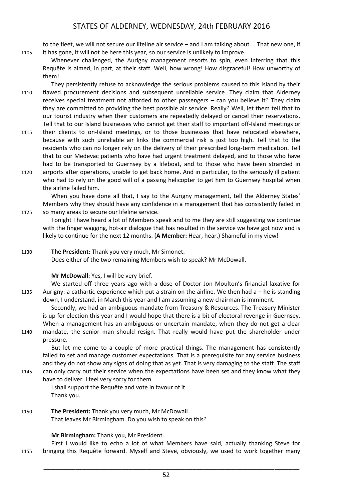to the fleet, we will not secure our lifeline air service – and I am talking about … That new one, if 1105 it has gone, it will not be here this year, so our service is unlikely to improve.

Whenever challenged, the Aurigny management resorts to spin, even inferring that this Requête is aimed, in part, at their staff. Well, how wrong! How disgraceful! How unworthy of them!

- They persistently refuse to acknowledge the serious problems caused to this Island by their 1110 flawed procurement decisions and subsequent unreliable service. They claim that Alderney receives special treatment not afforded to other passengers – can you believe it? They claim they are committed to providing the best possible air service. Really? Well, let them tell that to our tourist industry when their customers are repeatedly delayed or cancel their reservations. Tell that to our Island businesses who cannot get their staff to important off-Island meetings or
- 1115 their clients to on-Island meetings, or to those businesses that have relocated elsewhere, because with such unreliable air links the commercial risk is just too high. Tell that to the residents who can no longer rely on the delivery of their prescribed long-term medication. Tell that to our Medevac patients who have had urgent treatment delayed, and to those who have had to be transported to Guernsey by a lifeboat, and to those who have been stranded in
- 1120 airports after operations, unable to get back home. And in particular, to the seriously ill patient who had to rely on the good will of a passing helicopter to get him to Guernsey hospital when the airline failed him.

When you have done all that, I say to the Aurigny management, tell the Alderney States' Members why they should have any confidence in a management that has consistently failed in 1125 so many areas to secure our lifeline service.

Tonight I have heard a lot of Members speak and to me they are still suggesting we continue with the finger wagging, hot-air dialogue that has resulted in the service we have got now and is likely to continue for the next 12 months. (**A Member:** Hear, hear.) Shameful in my view!

#### 1130 **The President:** Thank you very much, Mr Simonet.

Does either of the two remaining Members wish to speak? Mr McDowall.

#### **Mr McDowall:** Yes, I will be very brief.

We started off three years ago with a dose of Doctor Jon Moulton's financial laxative for 1135 Aurigny: a cathartic experience which put a strain on the airline. We then had a – he is standing down, I understand, in March this year and I am assuming a new chairman is imminent.

Secondly, we had an ambiguous mandate from Treasury & Resources. The Treasury Minister is up for election this year and I would hope that there is a bit of electoral revenge in Guernsey. When a management has an ambiguous or uncertain mandate, when they do not get a clear 1140 mandate, the senior man should resign. That really would have put the shareholder under pressure.

But let me come to a couple of more practical things. The management has consistently failed to set and manage customer expectations. That is a prerequisite for any service business and they do not show any signs of doing that as yet. That is very damaging to the staff. The staff

1145 can only carry out their service when the expectations have been set and they know what they have to deliver. I feel very sorry for them.

I shall support the Requête and vote in favour of it. Thank you.

1150 **The President:** Thank you very much, Mr McDowall. That leaves Mr Birmingham. Do you wish to speak on this?

**Mr Birmingham:** Thank you, Mr President.

First I would like to echo a lot of what Members have said, actually thanking Steve for 1155 bringing this Requête forward. Myself and Steve, obviously, we used to work together many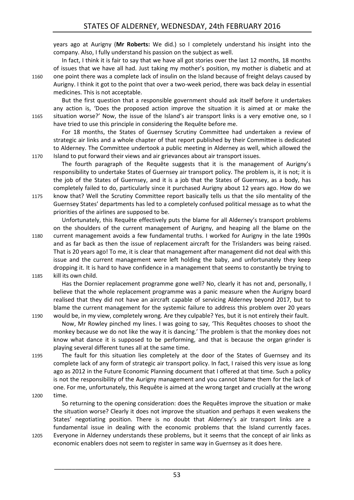years ago at Aurigny (**Mr Roberts:** We did.) so I completely understand his insight into the company. Also, I fully understand his passion on the subject as well.

In fact, I think it is fair to say that we have all got stories over the last 12 months, 18 months of issues that we have all had. Just taking my mother's position, my mother is diabetic and at 1160 one point there was a complete lack of insulin on the Island because of freight delays caused by Aurigny. I think it got to the point that over a two-week period, there was back delay in essential medicines. This is not acceptable.

But the first question that a responsible government should ask itself before it undertakes any action is, 'Does the proposed action improve the situation it is aimed at or make the 1165 situation worse?' Now, the issue of the Island's air transport links is a very emotive one, so I have tried to use this principle in considering the Requête before me.

For 18 months, the States of Guernsey Scrutiny Committee had undertaken a review of strategic air links and a whole chapter of that report published by their Committee is dedicated to Alderney. The Committee undertook a public meeting in Alderney as well, which allowed the 1170 Island to put forward their views and air grievances about air transport issues.

The fourth paragraph of the Requête suggests that it is the management of Aurigny's responsibility to undertake States of Guernsey air transport policy. The problem is, it is not; it is the job of the States of Guernsey, and it is a job that the States of Guernsey, as a body, has completely failed to do, particularly since it purchased Aurigny about 12 years ago. How do we 1175 know that? Well the Scrutiny Committee report basically tells us that the silo mentality of the Guernsey States' departments has led to a completely confused political message as to what the priorities of the airlines are supposed to be.

Unfortunately, this Requête effectively puts the blame for all Alderney's transport problems on the shoulders of the current management of Aurigny, and heaping all the blame on the 1180 current management avoids a few fundamental truths. I worked for Aurigny in the late 1990s and as far back as then the issue of replacement aircraft for the Trislanders was being raised. That is 20 years ago! To me, it is clear that management after management did not deal with this issue and the current management were left holding the baby, and unfortunately they keep dropping it. It is hard to have confidence in a management that seems to constantly be trying to 1185 kill its own child.

Has the Dornier replacement programme gone well? No, clearly it has not and, personally, I believe that the whole replacement programme was a panic measure when the Aurigny board realised that they did not have an aircraft capable of servicing Alderney beyond 2017, but to blame the current management for the systemic failure to address this problem over 20 years 1190 would be, in my view, completely wrong. Are they culpable? Yes, but it is not entirely their fault.

Now, Mr Rowley pinched my lines. I was going to say, 'This Requêtes chooses to shoot the monkey because we do not like the way it is dancing.' The problem is that the monkey does not know what dance it is supposed to be performing, and that is because the organ grinder is playing several different tunes all at the same time.

1195 The fault for this situation lies completely at the door of the States of Guernsey and its complete lack of any form of strategic air transport policy. In fact, I raised this very issue as long ago as 2012 in the Future Economic Planning document that I offered at that time. Such a policy is not the responsibility of the Aurigny management and you cannot blame them for the lack of one. For me, unfortunately, this Requête is aimed at the wrong target and crucially at the wrong 1200 time.

- So returning to the opening consideration: does the Requêtes improve the situation or make the situation worse? Clearly it does not improve the situation and perhaps it even weakens the States' negotiating position. There is no doubt that Alderney's air transport links are a fundamental issue in dealing with the economic problems that the Island currently faces.
- 1205 Everyone in Alderney understands these problems, but it seems that the concept of air links as economic enablers does not seem to register in same way in Guernsey as it does here.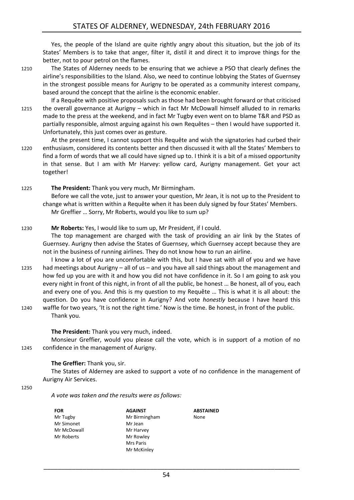Yes, the people of the Island are quite rightly angry about this situation, but the job of its States' Members is to take that anger, filter it, distil it and direct it to improve things for the better, not to pour petrol on the flames.

1210 The States of Alderney needs to be ensuring that we achieve a PSO that clearly defines the airline's responsibilities to the Island. Also, we need to continue lobbying the States of Guernsey in the strongest possible means for Aurigny to be operated as a community interest company, based around the concept that the airline is the economic enabler.

If a Requête with positive proposals such as those had been brought forward or that criticised 1215 the overall governance at Aurigny – which in fact Mr McDowall himself alluded to in remarks made to the press at the weekend, and in fact Mr Tugby even went on to blame T&R and PSD as partially responsible, almost arguing against his own Requêtes – then I would have supported it. Unfortunately, this just comes over as gesture.

At the present time, I cannot support this Requête and wish the signatories had curbed their 1220 enthusiasm, considered its contents better and then discussed it with all the States' Members to find a form of words that we all could have signed up to. I think it is a bit of a missed opportunity in that sense. But I am with Mr Harvey: yellow card, Aurigny management. Get your act together!

1225 **The President:** Thank you very much, Mr Birmingham.

Before we call the vote, just to answer your question, Mr Jean, it is not up to the President to change what is written within a Requête when it has been duly signed by four States' Members. Mr Greffier … Sorry, Mr Roberts, would you like to sum up?

#### 1230 **Mr Roberts:** Yes, I would like to sum up, Mr President, if I could.

The top management are charged with the task of providing an air link by the States of Guernsey. Aurigny then advise the States of Guernsey, which Guernsey accept because they are not in the business of running airlines. They do not know how to run an airline.

- I know a lot of you are uncomfortable with this, but I have sat with all of you and we have 1235 had meetings about Aurigny – all of us – and you have all said things about the management and how fed up you are with it and how you did not have confidence in it. So I am going to ask you every night in front of this night, in front of all the public, be honest … Be honest, all of you, each and every one of you. And this is my question to my Requête … This is what it is all about: the question. Do you have confidence in Aurigny? And vote *honestly* because I have heard this
- 1240 waffle for two years, 'It is not the right time.' Now is the time. Be honest, in front of the public. Thank you.

#### **The President:** Thank you very much, indeed.

Monsieur Greffier, would you please call the vote, which is in support of a motion of no 1245 confidence in the management of Aurigny.

#### **The Greffier:** Thank you, sir.

The States of Alderney are asked to support a vote of no confidence in the management of Aurigny Air Services.

#### 1250

*A vote was taken and the results were as follows:*

| FOR         |
|-------------|
| Mr Tugby    |
| Mr Simonet  |
| Mr McDowall |
| Mr Roberts  |
|             |

**AGAINST** Mr Birmingham Mr Jean Mr Harvey Mr Rowley Mrs Paris Mr McKinley

**ABSTAINED** None